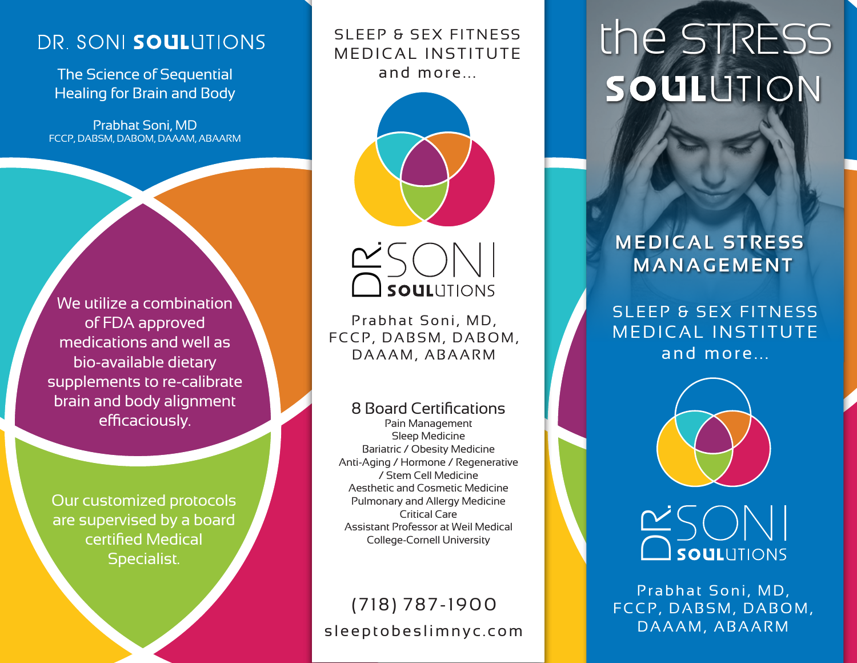# DR. SONI SOULUTIONS

The Science of Sequential Healing for Brain and Body

Prabhat Soni, MD FCCP, DABSM, DABOM, DAAAM, ABAARM

We utilize a combination of FDA approved medications and well as bio-available dietary supplements to re-calibrate brain and body alignment efficaciously.

Our customized protocols are supervised by a board certified Medical Specialist.

MEDICAL INSTITUTE and more...





Prabhat Soni, MD, FCCP, DABSM, DABOM, <u>Canadia</u><br>Prabhat Soni, MD,<br>CP, DABSM, DABC<br>DAAAM, ABAARM

8 Board Certifications

Pain Management Sleep Medicine Bariatric / Obesity Medicine Anti-Aging / Hormone / Regenerative / Stem Cell Medicine Aesthetic and Cosmetic Medicine Pulmonary and Allergy Medicine Critical Care Assistant Professor at Weil Medical College-Cornell University

# sleeptobeslimnyc.com (718) 787-1900

# SLEEP & SEX FITNESS | the STRESS SOULUTION

## **MEDICAL STRESS MANAGEMENT**

SLEEP & SEX FITNESS MEDICAL INSTITUTE and more...



# **DEAN SOULUTIONS**<br>Prabhat Soni, MD,<br>CP, DABSM, DABC<br>DAAAM, ABAARM

Prabhat Soni, MD, FCCP, DABSM, DABOM,